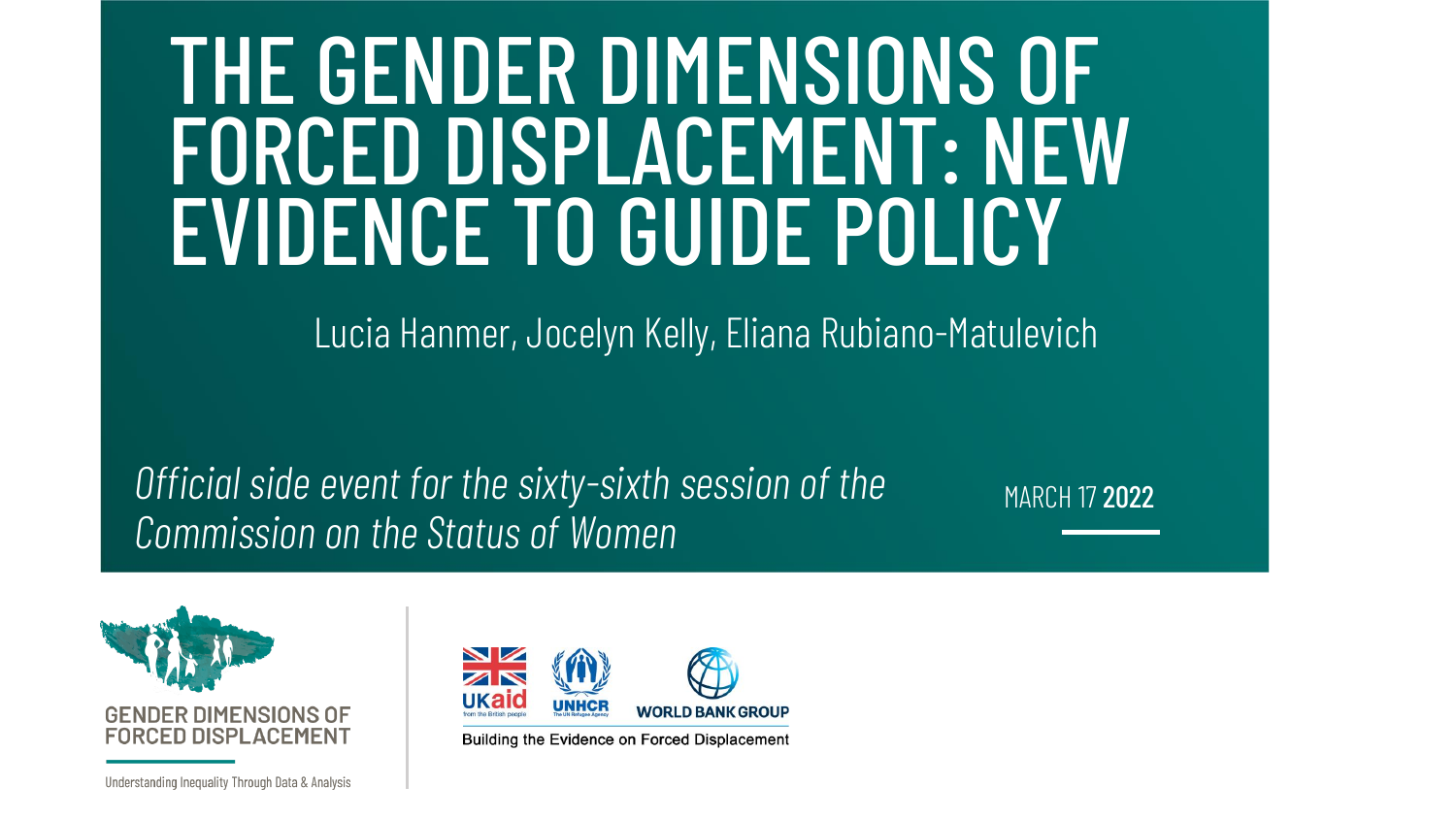## THE GENDER DIMENSIONS OF FORCED DISPLACEMENT: NEW EVIDENCE TO GUIDE POLICY

Lucia Hanmer, Jocelyn Kelly, Eliana Rubiano-Matulevich

*Official side event for the sixty-sixth session of the Commission on the Status of Women* 

MARCH 17 2022



Understanding Inequality Through Data & Analysis



Building the Evidence on Forced Displacement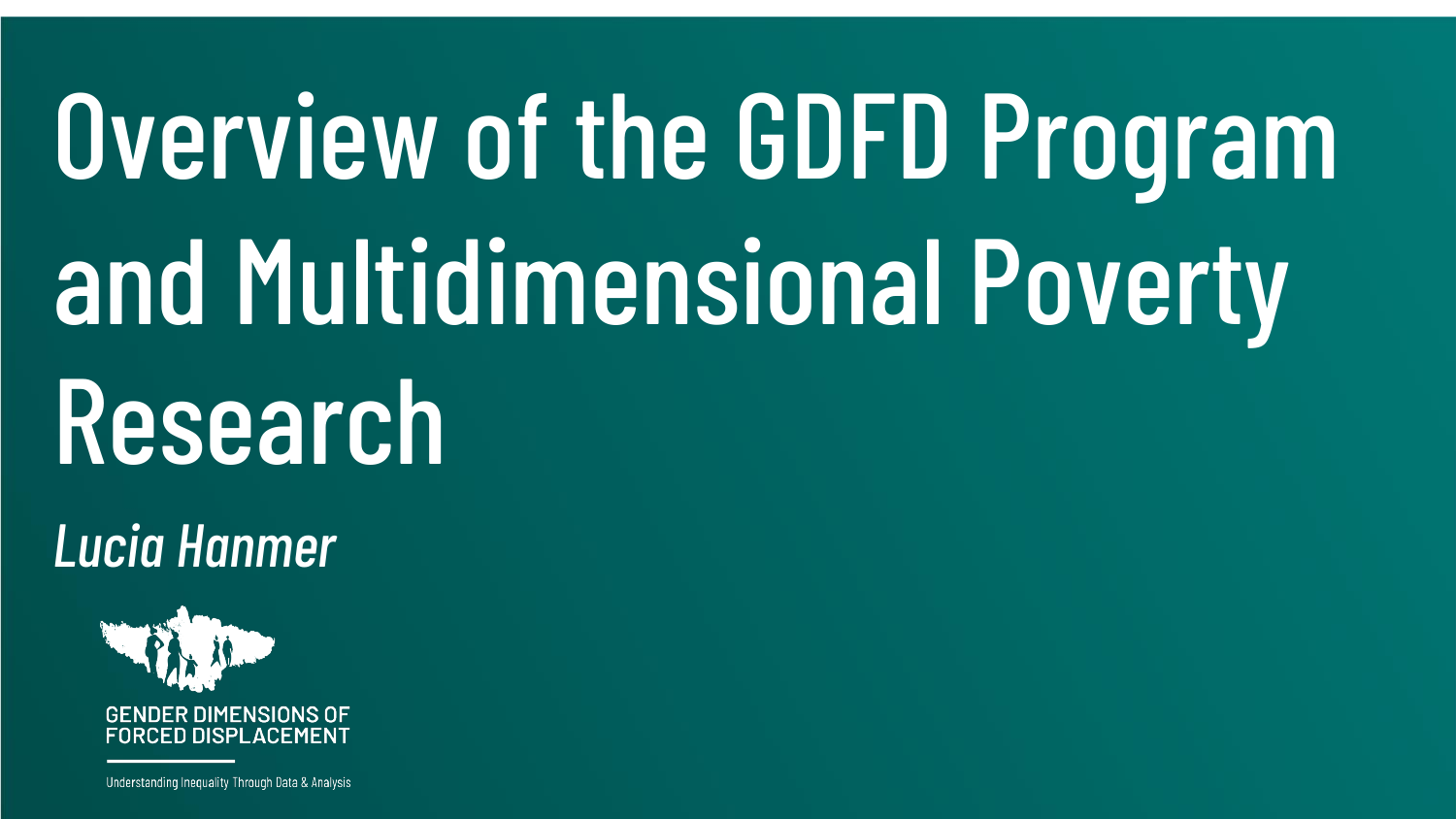# Overview of the GDFD Program and Multidimensional Poverty Research

*Lucia Hanmer*



Understanding Inequality Through Data & Analysis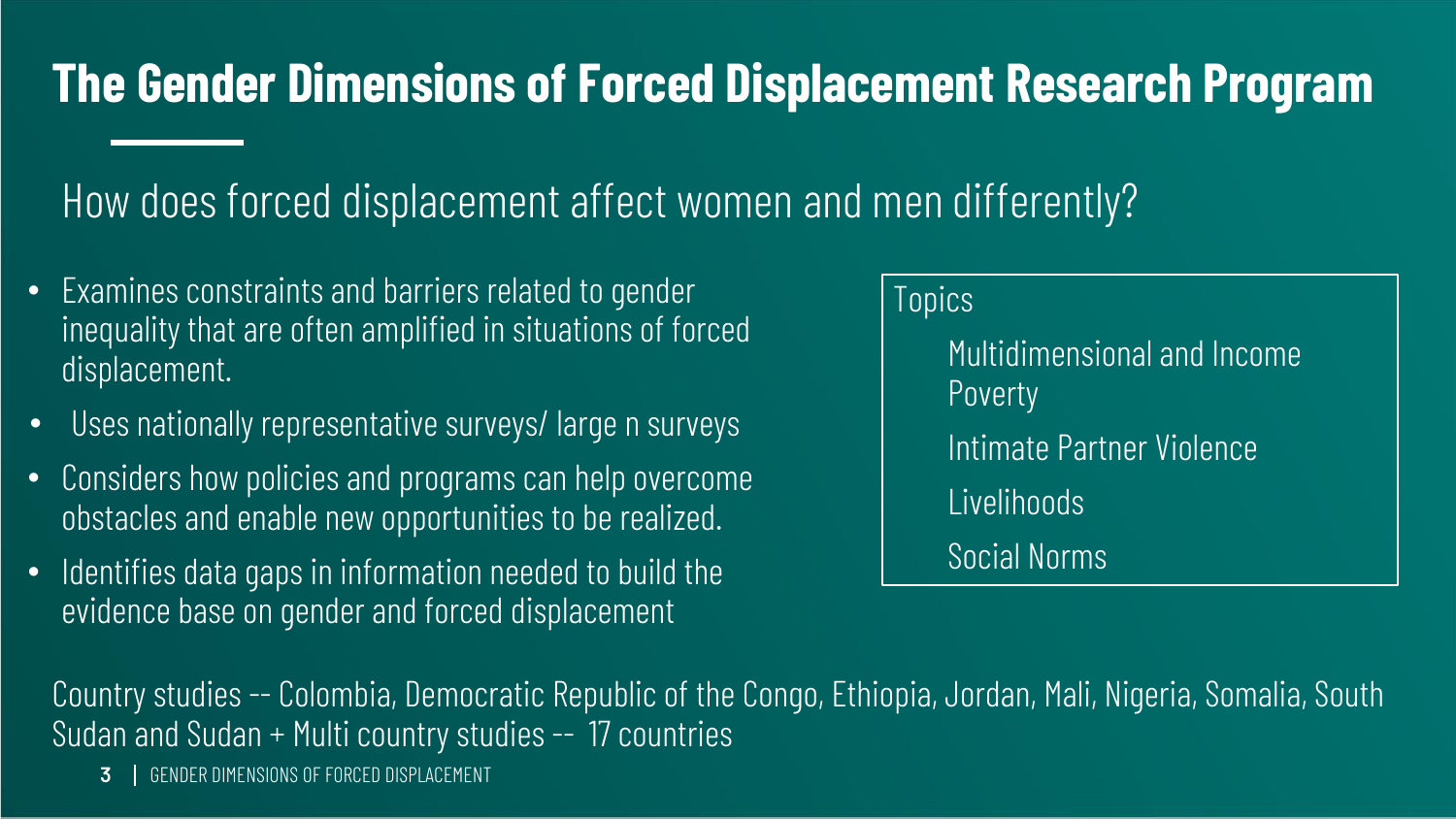### **The Gender Dimensions of Forced Displacement Research Program**

#### How does forced displacement affect women and men differently?

- Examines constraints and barriers related to gender inequality that are often amplified in situations of forced displacement.
- Uses nationally representative surveys/ large n surveys
- Considers how policies and programs can help overcome obstacles and enable new opportunities to be realized.
- Identifies data gaps in information needed to build the evidence base on gender and forced displacement

| Topics <sup>1</sup>                    |  |
|----------------------------------------|--|
| Multidimensional and Income<br>Poverty |  |
| Intimate Partner Violence              |  |
| Livelihoods                            |  |
| Social Norms                           |  |

Country studies -- Colombia, Democratic Republic of the Congo, Ethiopia, Jordan, Mali, Nigeria, Somalia, South Sudan and Sudan + Multi country studies -- 17 countries

**3** GENDER DIMENSIONS OF FORCED DISPLACEMENT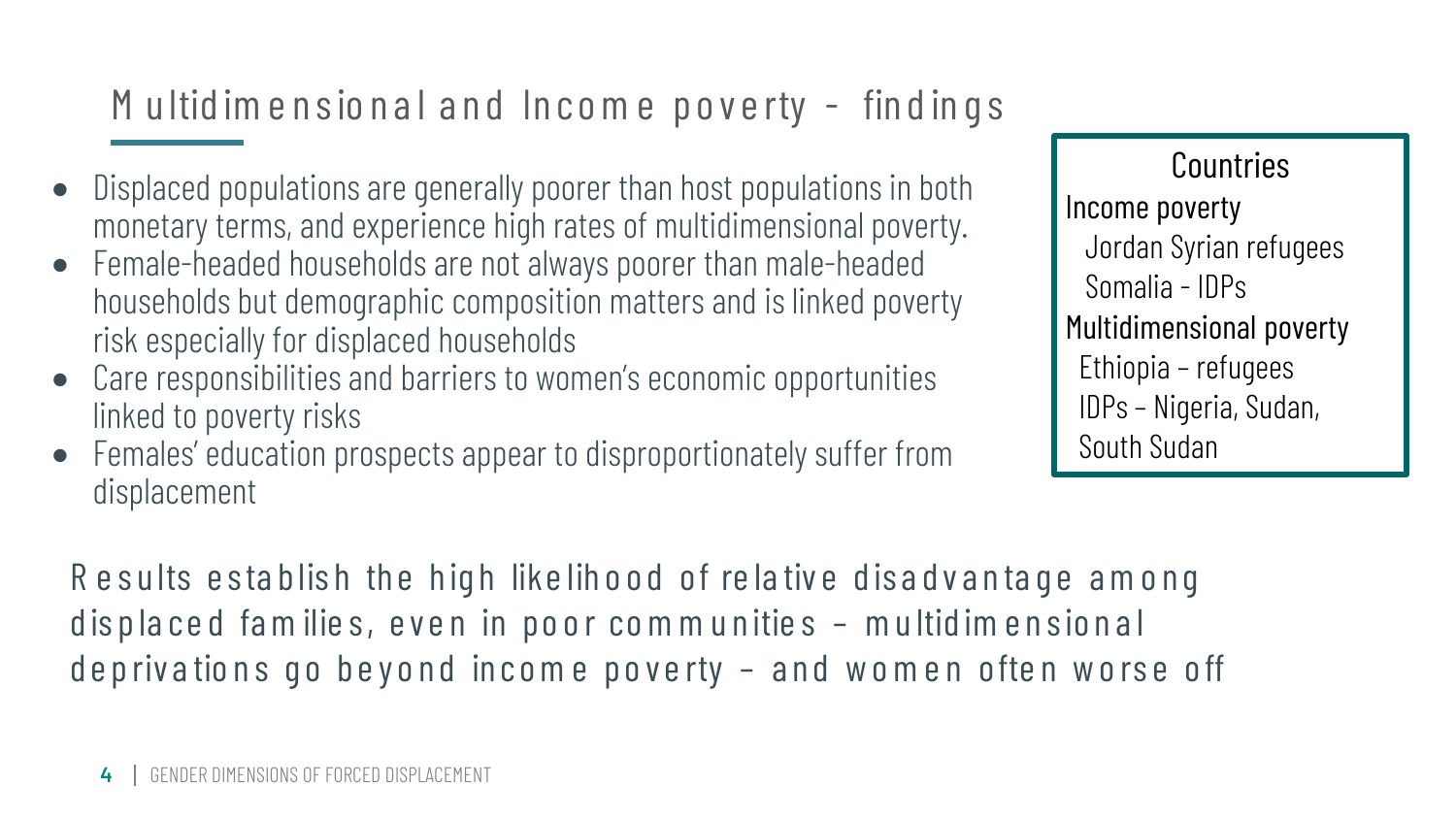#### Multid im ensional and Income poverty - findings

- Displaced populations are generally poorer than host populations in both monetary terms, and experience high rates of multidimensional poverty.
- Female-headed households are not always poorer than male-headed households but demographic composition matters and is linked poverty risk especially for displaced households
- Care responsibilities and barriers to women's economic opportunities linked to poverty risks
- Females' education prospects appear to disproportionately suffer from displacement

Countries Income poverty Jordan Syrian refugees Somalia - IDPs Multidimensional poverty Ethiopia – refugees IDPs – Nigeria, Sudan, South Sudan

R e sults establish the high like lihood of relative disadvantage among displaced families, even in poor communities - multidimensional deprivations go beyond income poverty - and women often worse off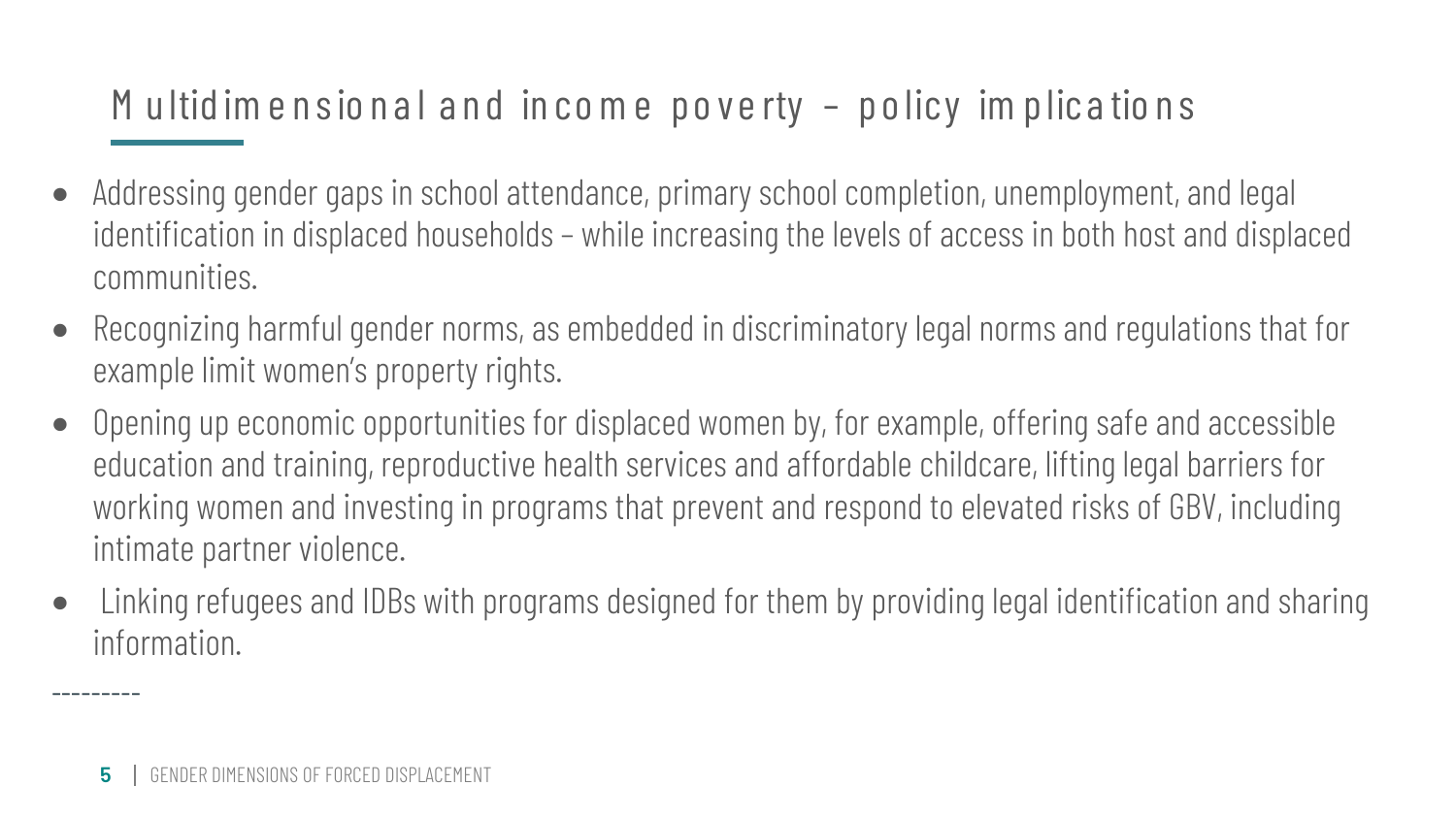#### M ultid im ensional and income poverty - policy implications

- Addressing gender gaps in school attendance, primary school completion, unemployment, and legal identification in displaced households – while increasing the levels of access in both host and displaced communities.
- Recognizing harmful gender norms, as embedded in discriminatory legal norms and regulations that for example limit women's property rights.
- Opening up economic opportunities for displaced women by, for example, offering safe and accessible education and training, reproductive health services and affordable childcare, lifting legal barriers for working women and investing in programs that prevent and respond to elevated risks of GBV, including intimate partner violence.
- Linking refugees and IDBs with programs designed for them by providing legal identification and sharing information.

---------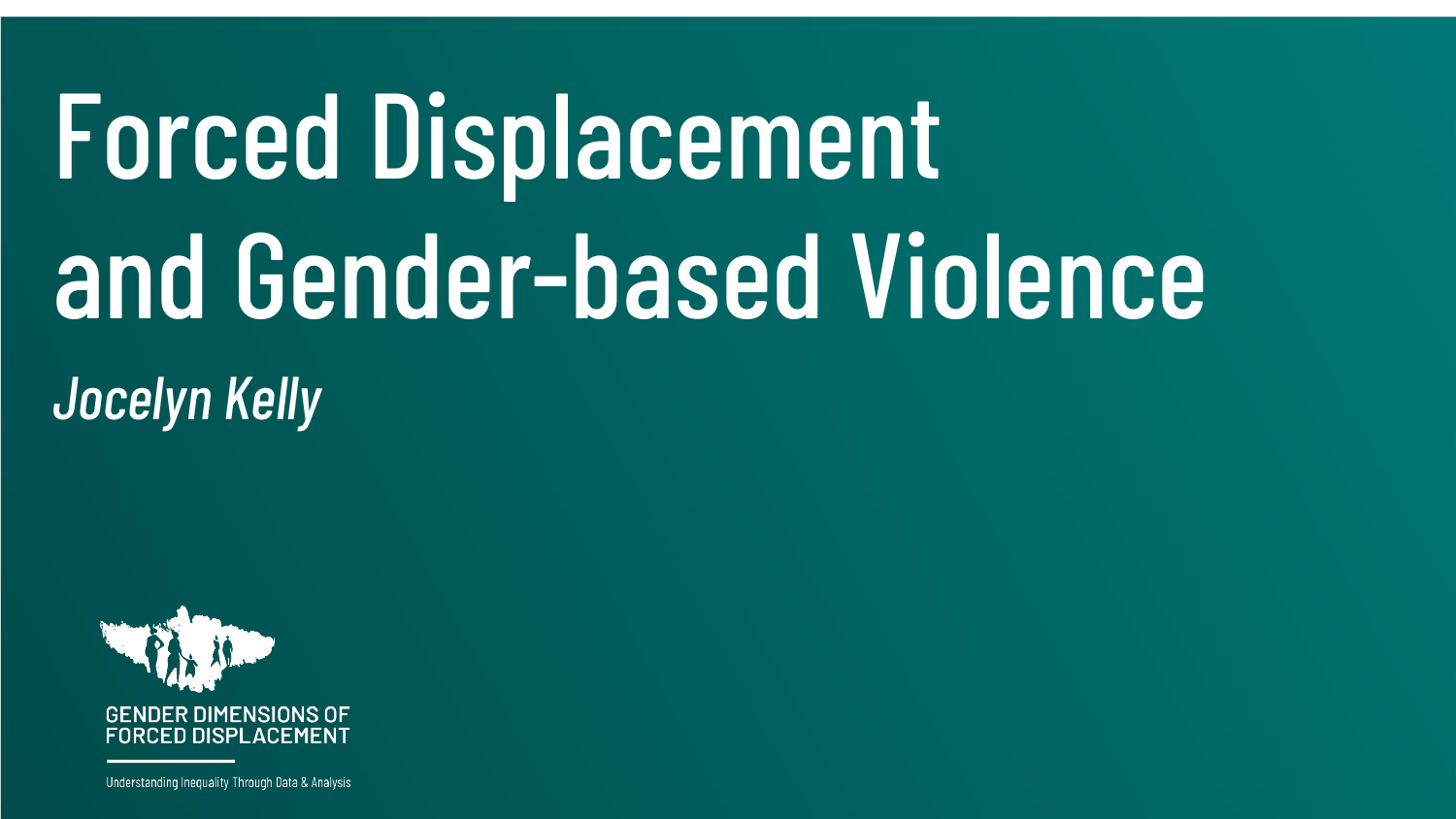## Forced Displacement and Gender-based Violence

## *Jocelyn Kelly*



Understanding Inequality Through Data & Analysis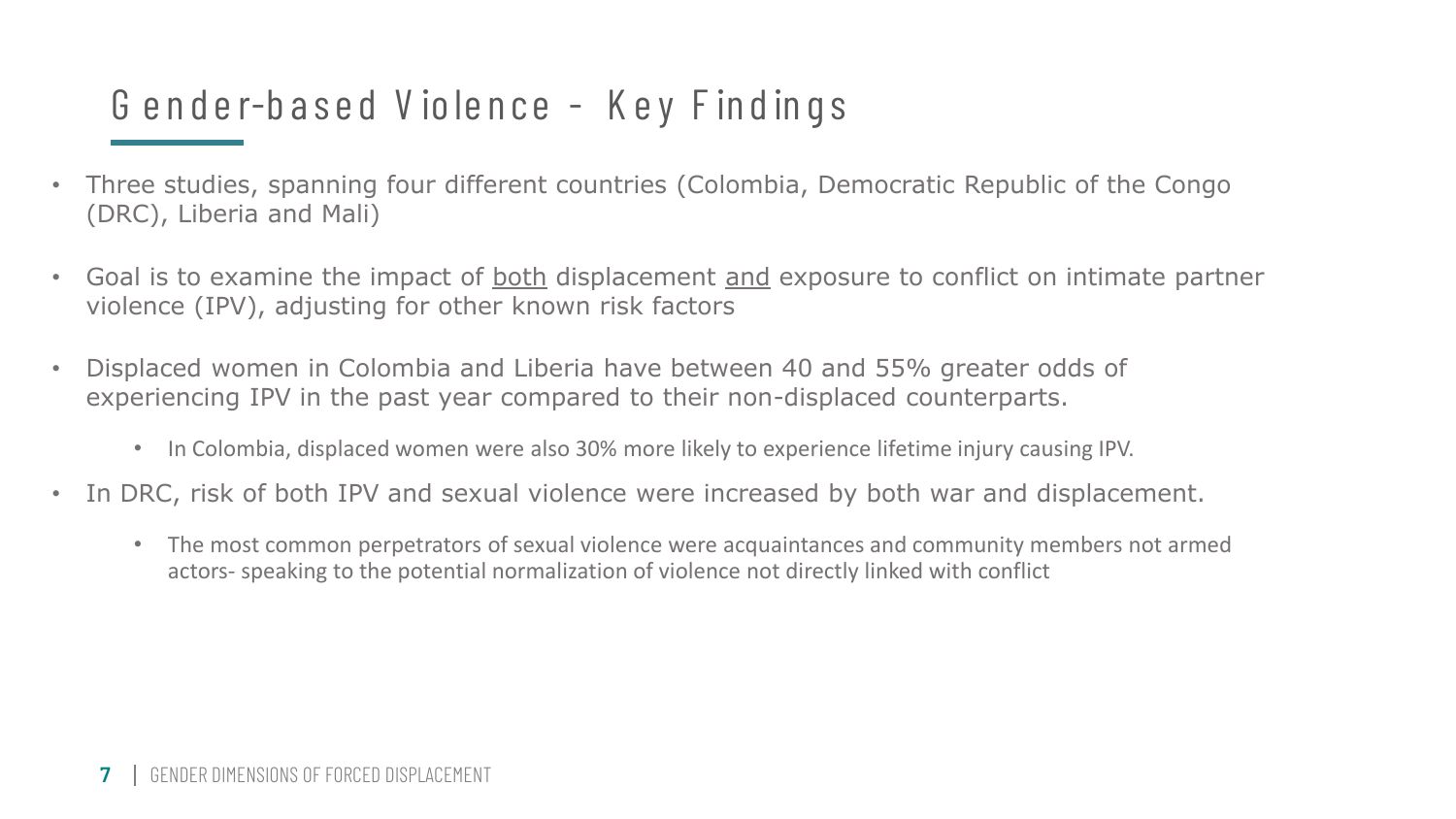#### G ender-based Violence - Key Findings

- Three studies, spanning four different countries (Colombia, Democratic Republic of the Congo (DRC), Liberia and Mali)
- Goal is to examine the impact of both displacement and exposure to conflict on intimate partner violence (IPV), adjusting for other known risk factors
- Displaced women in Colombia and Liberia have between 40 and 55% greater odds of experiencing IPV in the past year compared to their non-displaced counterparts.
	- In Colombia, displaced women were also 30% more likely to experience lifetime injury causing IPV.
- In DRC, risk of both IPV and sexual violence were increased by both war and displacement.
	- The most common perpetrators of sexual violence were acquaintances and community members not armed actors- speaking to the potential normalization of violence not directly linked with conflict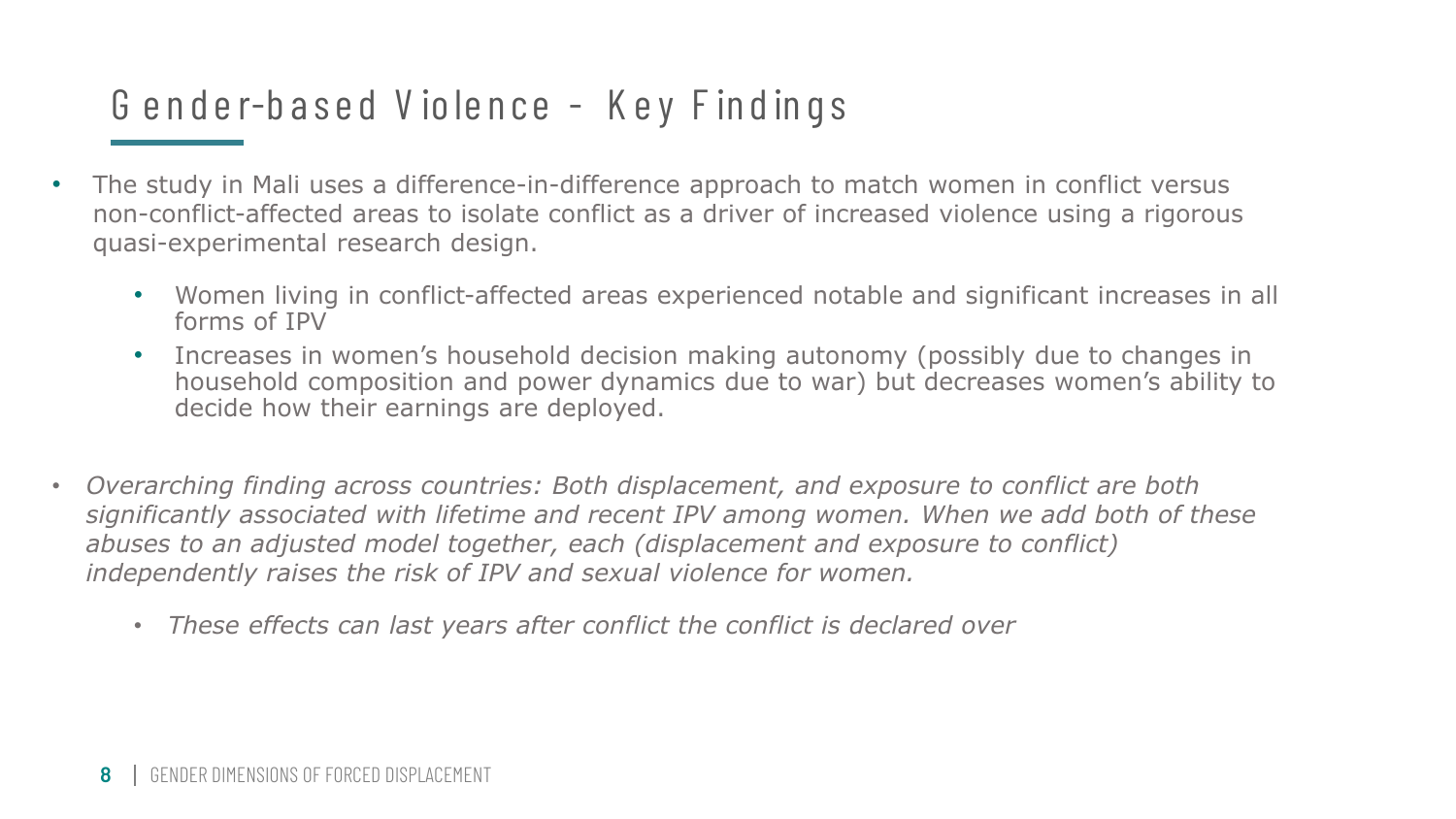#### G ender-based Violence - Key Findings

- The study in Mali uses a difference-in-difference approach to match women in conflict versus non-conflict-affected areas to isolate conflict as a driver of increased violence using a rigorous quasi-experimental research design.
	- Women living in conflict-affected areas experienced notable and significant increases in all forms of IPV
	- Increases in women's household decision making autonomy (possibly due to changes in household composition and power dynamics due to war) but decreases women's ability to decide how their earnings are deployed.
- *Overarching finding across countries: Both displacement, and exposure to conflict are both significantly associated with lifetime and recent IPV among women. When we add both of these abuses to an adjusted model together, each (displacement and exposure to conflict) independently raises the risk of IPV and sexual violence for women.* 
	- *These effects can last years after conflict the conflict is declared over*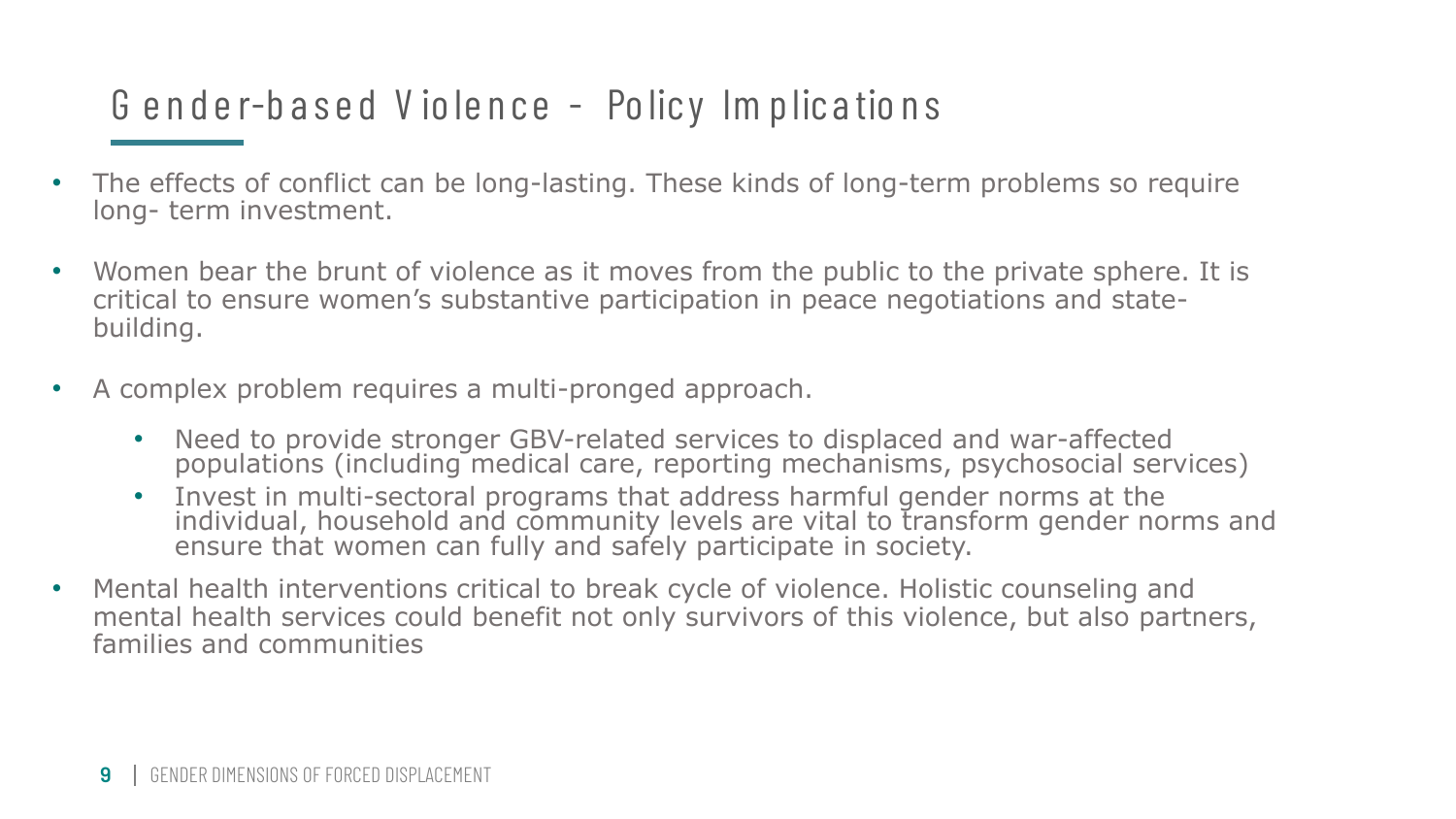#### G ender-based Violence - Policy Implications

- The effects of conflict can be long-lasting. These kinds of long-term problems so require long- term investment.
- Women bear the brunt of violence as it moves from the public to the private sphere. It is critical to ensure women's substantive participation in peace negotiations and statebuilding.
- A complex problem requires a multi-pronged approach.
	- Need to provide stronger GBV-related services to displaced and war-affected populations (including medical care, reporting mechanisms, psychosocial services)
	- Invest in multi-sectoral programs that address harmful gender norms at the individual, household and community levels are vital to transform gender norms and ensure that women can fully and safely participate in society.
- Mental health interventions critical to break cycle of violence. Holistic counseling and mental health services could benefit not only survivors of this violence, but also partners, families and communities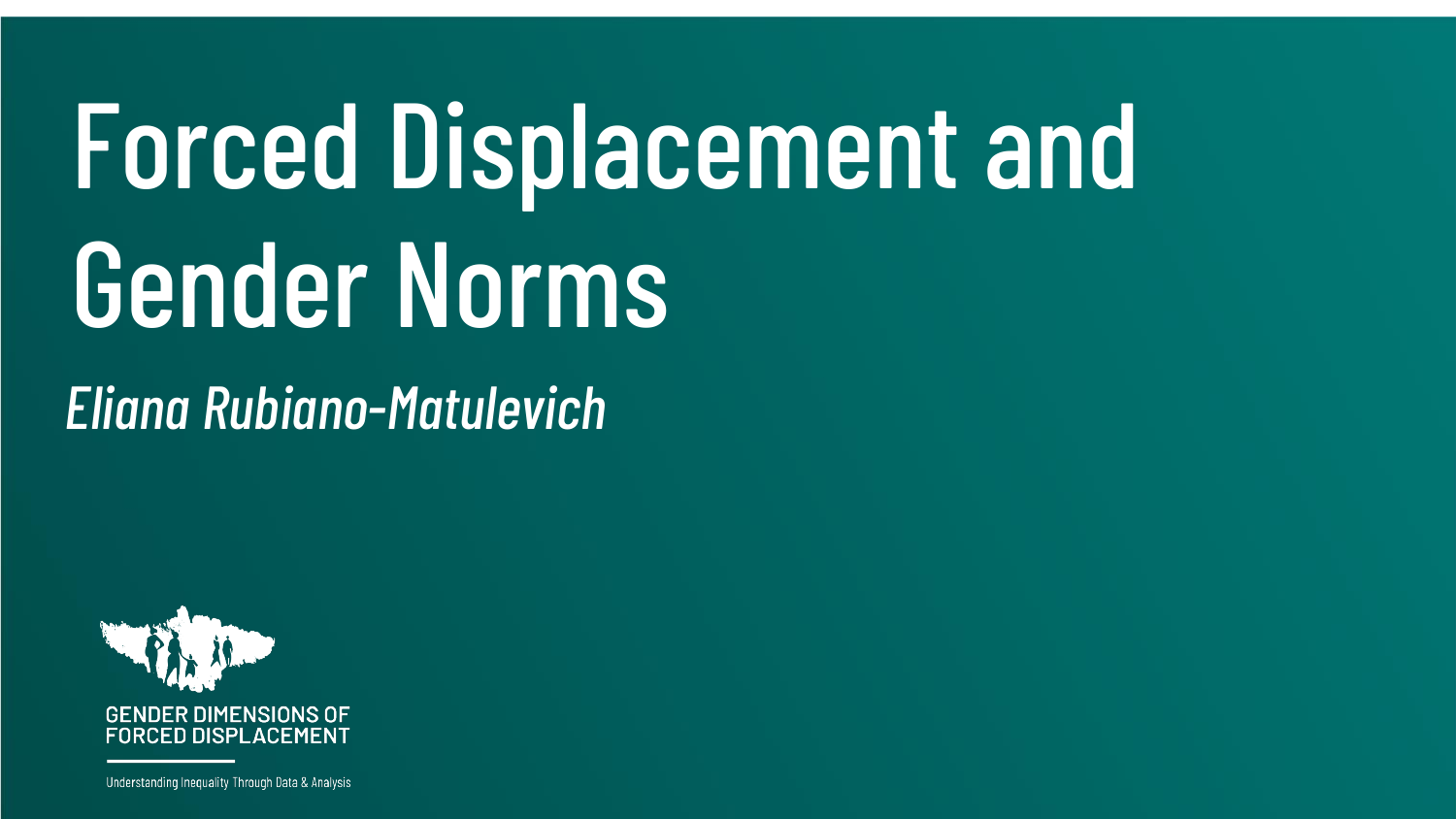# Forced Displacement and Gender Norms

*Eliana Rubiano-Matulevich*



Understanding Inequality Through Data & Analysis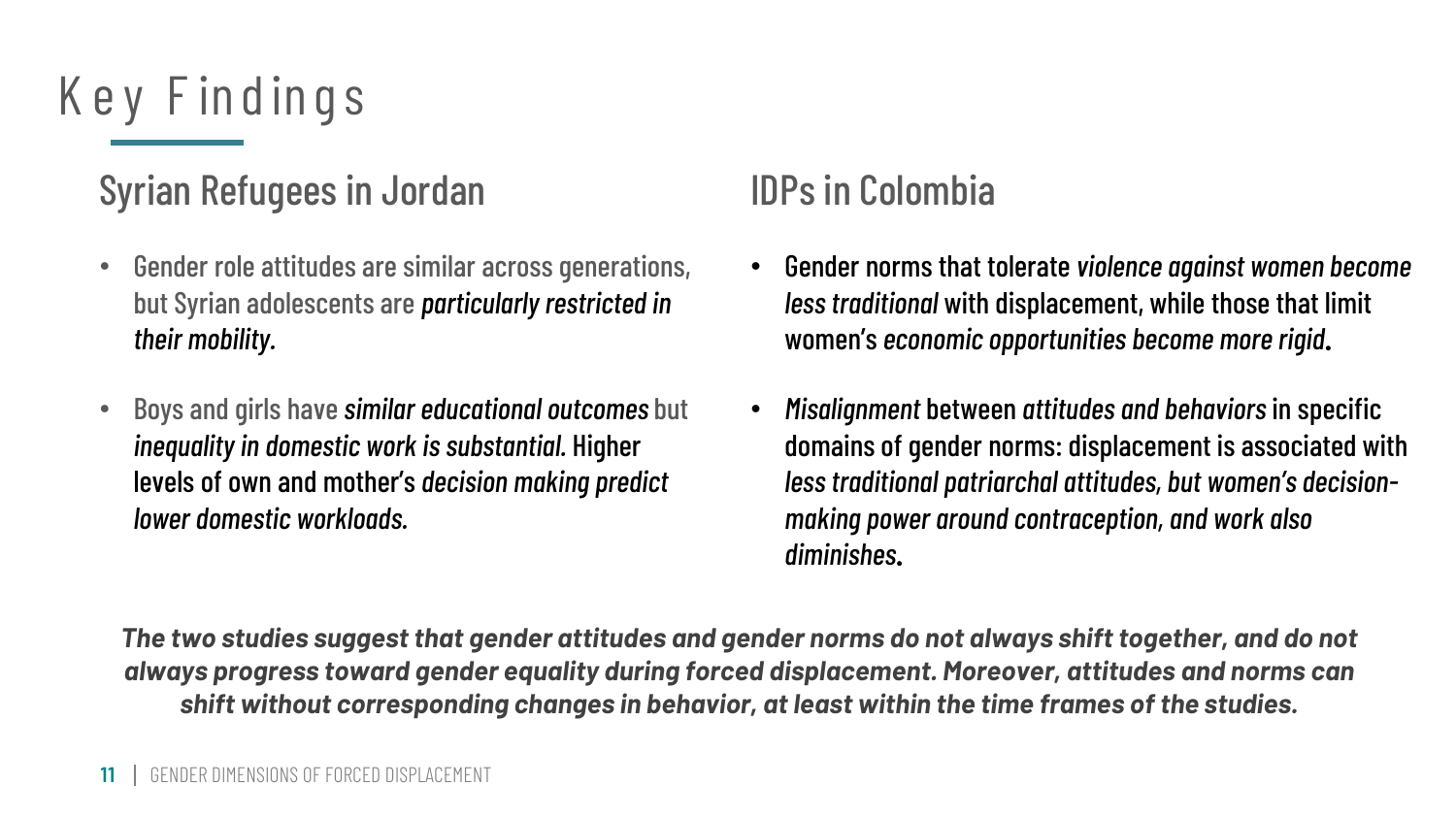## Key Findings

#### Syrian Refugees in Jordan

- Gender role attitudes are similar across generations, but Syrian adolescents are *particularly restricted in their mobility.*
- Boys and girls have *similar educational outcomes* but *inequality in domestic work is substantial.* Higher levels of own and mother's *decision making predict lower domestic workloads.*

#### IDPs in Colombia

- Gender norms that tolerate *violence against women become less traditional* with displacement, while those that limit women's *economic opportunities become more rigid*.
- *Misalignment* between *attitudes and behaviors* in specific domains of gender norms: displacement is associated with *less traditional patriarchal attitudes, but women's decisionmaking power around contraception, and work also diminishes*.

*The two studies suggest that gender attitudes and gender norms do not always shift together, and do not always progress toward gender equality during forced displacement. Moreover, attitudes and norms can shift without corresponding changes in behavior, at least within the time frames of the studies.*